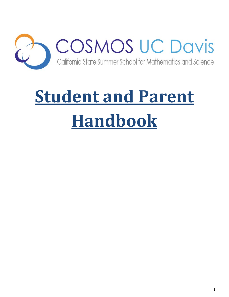

# **Student and Parent Handbook**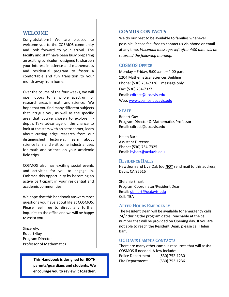# **WELCOME**

Congratulations! We are pleased to welcome you to the COSMOS community and look forward to your arrival. The faculty and staff have been busy preparing an exciting curriculum designed to sharpen your interest in science and mathematics and residential program to foster a comfortable and fun transition to your month away from home.

Over the course of the four weeks, we will open doors to a whole spectrum of research areas in math and science. We hope that you find many different subjects that intrigue you, as well as the specific area that you've chosen to explore indepth. Take advantage of the chance to look at the stars with an astronomer, learn about cutting edge research from our distinguished lecturers, learn about science fairs and visit some industrial uses for math and science on your academic field trips.

COSMOS also has exciting social events and activities for you to engage in. Embrace this opportunity by becoming an active participant in your residential and academic communities.

We hope that this handbook answers most questions you have about life at COSMOS. Please feel free to direct any further inquiries to the office and we will be happy to assist you.

Sincerely, Robert Guy Program Director Professor of Mathematics

> **This Handbook is designed for BOTH parents/guardians and students. We encourage you to review it together.**

# **COSMOS CONTACTS**

We do our best to be available to families whenever possible. Please feel free to contact us via phone or email at any time. *Voicemail messages left after 4:00 p.m. will be returned the following morning.*

# **COSMOS OFFICE**

Monday – Friday, 9:00 a.m. – 4:00 p.m. 1204 Mathematical Sciences Building Phone: (530) 754-7326 – message only Fax: (530) 754-7327 Email: [cdirect@ucdavis.edu](mailto:cdirect@ucdavis.edu) Web: [www.cosmos.ucdavis.edu](http://www.cosmos.ucdavis.edu/)

# **STAFF**

Robert Guy Program Director & Mathematics Professor Email: cdirect@ucdavis.edu

Helen Barr Assistant Director Phone: (530) 754-7325 Email: [hybarr@ucdavis.edu](mailto:hybarr@ucdavis.edu)

#### **RESIDENCE HALLS**

Hawthorn and Live Oak (do **NOT** send mail to this address) Davis, CA 95616

Stefanie Smart Program Coordinator/Resident Dean Email: [slsmart@ucdavis.edu](mailto:slsmart@ucdavis.edu) Cell: TBA

# **AFTER HOURS EMERGENCY**

The Resident Dean will be available for emergency calls 24/7 during the program dates; reachable at the cell number that will be provided on Opening day. If you are not able to reach the Resident Dean, please call Helen Barr.

# **UC DAVIS CAMPUS CONTACTS**

There are many other campus resources that will assist COSMOS if needed. A few include: Police Department: (530) 752-1230 Fire Department: (530) 752-1236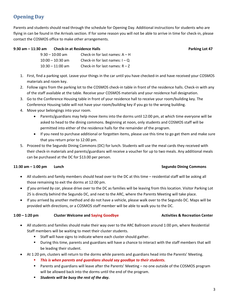# **Opening Day**

Parents and students should read through the schedule for Opening Day. Additional instructions for students who are flying in can be found in the Arrivals section. If for some reason you will not be able to arrive in time for check-in, please contact the COSMOS office to make other arrangements.

# **9:30 am – 11:30 am Check-in at Residence Halls Parking Lot 47**

| $9:30 - 10:00$ am  | Check-in for last names: $A - H$ |
|--------------------|----------------------------------|
| $10:00 - 10:30$ am | Check-in for last names: $I - Q$ |
| $10:30 - 11:00$ am | Check-in for last names: $R - Z$ |

- 1. First, find a parking spot. Leave your things in the car until you have checked-in and have received your COSMOS materials and room key.
- 2. Follow signs from the parking lot to the COSMOS check-in table in front of the residence halls. Check-in with any of the staff available at the table. Receive your COSMOS materials and your residence hall designation.
- 3. Go to the Conference Housing table in front of your residence hall to receive your room/building key. The Conference Housing table will not have your room/building key if you go to the wrong building.
- 4. Move your belongings into your room.
	- Parents/guardians may help move items into the dorms until 12:00 pm, at which time everyone will be asked to head to the dining commons. Beginning at noon, only students and COSMOS staff will be permitted into either of the residence halls for the remainder of the program.
	- If you need to purchase additional or forgotten items, please use this time to go get them and make sure that you return prior to 12:00 pm.
- 5. Proceed to the Segundo Dining Commons (DC) for lunch. Students will use the meal cards they received with their check-in materials and parents/guardians will receive a voucher for up to two meals. Any additional meals can be purchased at the DC for \$13.00 per person.

# **11:30 am – 1:00 pm Lunch Lunch Segundo Dining Commons**

- All students and family members should head over to the DC at this time residential staff will be asking all those remaining to exit the dorms at 12:00 pm.
- *If you arrived by car*, please drive over to the DC as families will be leaving from this location. Visitor Parking Lot 25 is directly behind the Segundo DC, and next to the ARC, where the Parents Meeting will take place.
- If you arrived by another method and do not have a vehicle, please walk over to the Segundo DC. Maps will be provided with directions, or a COSMOS staff member will be able to walk you to the DC.

# **1:00 – 1:20 pm Cluster Welcome and Saying Goodbye Activities & Recreation Center**

- All students and families should make their way over to the ARC Ballroom around 1:00 pm, where Residential Staff members will be waiting to meet their cluster students.
	- **Staff will have signs to indicate where each cluster should gather.**
	- During this time, parents and guardians will have a chance to interact with the staff members that will be leading their student.
- At 1:20 pm, clusters will return to the dorms while parents and guardians head into the Parents' Meeting.
	- *This is when parents and guardians should say goodbye to their students.*
	- Parents and guardians will leave after the Parents' Meeting no one outside of the COSMOS program will be allowed back into the dorms until the end of the program.
	- *Students will be busy the rest of the day.*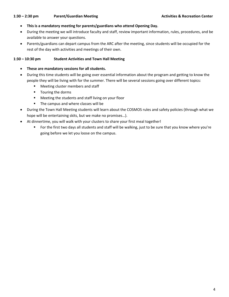## **1:30 – 2:30 pm Parent/Guardian Meeting Activities & Recreation Center**

- **This is a mandatory meeting for parents/guardians who attend Opening Day.**
- During the meeting we will introduce faculty and staff, review important information, rules, procedures, and be available to answer your questions.
- Parents/guardians can depart campus from the ARC after the meeting, since students will be occupied for the rest of the day with activities and meetings of their own.

# **1:30 – 10:30 pm Student Activities and Town Hall Meeting**

- **These are mandatory sessions for all students.**
- During this time students will be going over essential information about the program and getting to know the people they will be living with for the summer. There will be several sessions going over different topics:
	- **Meeting cluster members and staff**
	- **T** Touring the dorms
	- **Meeting the students and staff living on your floor**
	- The campus and where classes will be
- During the Town Hall Meeting students will learn about the COSMOS rules and safety policies (through what we hope will be entertaining skits, but we make no promises…).
- At dinnertime, you will walk with your clusters to share your first meal together!
	- For the first two days all students and staff will be walking, just to be sure that you know where you're going before we let you loose on the campus.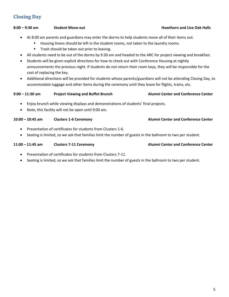# **Closing Day**

# **8:00 – 9:30 am Student Move-out Hawthorn and Live Oak Halls**

- At 8:00 am parents and guardians may enter the dorms to help students move all of their items out.
	- **Housing linens should be left in the student rooms, not taken to the laundry rooms.**
	- **Trash should be taken out prior to leaving.**
- All students need to be out of the dorms by 9:30 am and headed to the ARC for project viewing and breakfast.
- Students will be given explicit directions for how to check out with Conference Housing at nightly announcements the previous night. If students do not return their room keys, they will be responsible for the cost of replacing the key.
- Additional directions will be provided for students whose parents/guardians will not be attending Closing Day, to accommodate luggage and other items during the ceremony until they leave for flights, trains, etc.

# **9:00 – 11:30 am Project Viewing and Buffet Brunch Alumni Center and Conference Center**

- Enjoy brunch while viewing displays and demonstrations of students' final projects.
- Note, this facility will not be open until 9:00 am.

# **10:00 – 10:45 am Clusters 1-6 Ceremony Alumni Center and Conference Center**

- Presentation of certificates for students from Clusters 1-6.
- Seating is limited, so we ask that families limit the number of guests in the ballroom to two per student.

# **11:00 – 11:45 am Clusters 7-11 Ceremony Alumni Center and Conference Center**

- Presentation of certificates for students from Clusters 7-11.
- Seating is limited, so we ask that families limit the number of guests in the ballroom to two per student.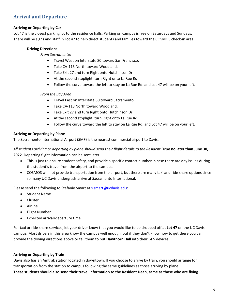# **Arrival and Departure**

# **Arriving or Departing by Car**

Lot 47 is the closest parking lot to the residence halls. Parking on campus is free on Saturdays and Sundays. There will be signs and staff in Lot 47 to help direct students and families toward the COSMOS check-in area.

## **Driving Directions**

*From Sacramento:*

- Travel West on Interstate 80 toward San Francisco.
- Take CA-113 North toward Woodland.
- Take Exit 27 and turn Right onto Hutchinson Dr.
- At the second stoplight, turn Right onto La Rue Rd.
- Follow the curve toward the left to stay on La Rue Rd. and Lot 47 will be on your left.

#### *From the Bay Area*

- Travel East on Interstate 80 toward Sacramento.
- Take CA-113 North toward Woodland.
- Take Exit 27 and turn Right onto Hutchinson Dr.
- At the second stoplight, turn Right onto La Rue Rd.
- Follow the curve toward the left to stay on La Rue Rd. and Lot 47 will be on your left.

# **Arriving or Departing by Plane**

The Sacramento International Airport (SMF) is the nearest commercial airport to Davis.

*All students arriving or departing by plane should send their flight details to the Resident Dean* **no later than June 30, 2022**. Departing flight information can be sent later.

- This is just to ensure student safety, and provide a specific contact number in case there are any issues during the student's travel from the airport to the campus.
- COSMOS will not provide transportation from the airport, but there are many taxi and ride share options since so many UC Davis undergrads arrive at Sacramento International.

Please send the following to Stefanie Smart at [slsmart@ucdavis.edu:](mailto:slsmart@ucdavis.edu)

- Student Name
- Cluster
- Airline
- Flight Number
- Expected arrival/departure time

For taxi or ride share services, let your driver know that you would like to be dropped off at **Lot 47** on the UC Davis campus. Most drivers in this area know the campus well enough, but if they don't know how to get there you can provide the driving directions above or tell them to put **Hawthorn Hall** into their GPS devices.

# **Arriving or Departing by Train**

Davis also has an Amtrak station located in downtown. If you choose to arrive by train, you should arrange for transportation from the station to campus following the same guidelines as those arriving by plane. **These students should also send their travel information to the Resident Dean, same as those who are flying**.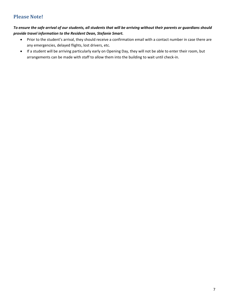# **Please Note!**

# *To ensure the safe arrival of our students, all students that will be arriving without their parents or guardians should provide travel information to the Resident Dean, Stefanie Smart.*

- Prior to the student's arrival, they should receive a confirmation email with a contact number in case there are any emergencies, delayed flights, lost drivers, etc.
- If a student will be arriving particularly early on Opening Day, they will not be able to enter their room, but arrangements can be made with staff to allow them into the building to wait until check-in.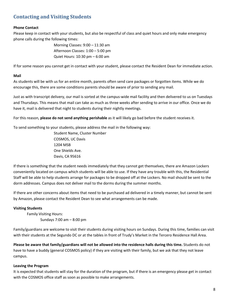# **Contacting and Visiting Students**

# **Phone Contact**

Please keep in contact with your students, but also be respectful of class and quiet hours and only make emergency phone calls during the following times:

> Morning Classes: 9:00 – 11:30 am Afternoon Classes: 1:00 – 5:00 pm Quiet Hours: 10:30 pm – 6:00 am

If for some reason you cannot get in contact with your student, please contact the Resident Dean for immediate action.

## **Mail**

As students will be with us for an entire month, parents often send care packages or forgotten items. While we do encourage this, there are some conditions parents should be aware of prior to sending any mail.

Just as with transcript delivery, our mail is sorted at the campus-wide mail facility and then delivered to us on Tuesdays and Thursdays. This means that mail can take as much as three weeks after sending to arrive in our office. Once we do have it, mail is delivered that night to students during their nightly meetings.

For this reason, **please do not send anything perishable** as it will likely go bad before the student receives it.

To send something to your students, please address the mail in the following way:

Student Name, Cluster Number COSMOS, UC Davis 1204 MSB One Shields Ave. Davis, CA 95616

If there is something that the student needs immediately that they cannot get themselves, there are Amazon Lockers conveniently located on campus which students will be able to use. If they have any trouble with this, the Residential Staff will be able to help students arrange for packages to be dropped off at the Lockers. No mail should be sent to the dorm addresses. Campus does not deliver mail to the dorms during the summer months.

If there are other concerns about items that need to be purchased ad delivered in a timely manner, but cannot be sent by Amazon, please contact the Resident Dean to see what arrangements can be made.

# **Visiting Students**

Family Visiting Hours: Sundays 7:00 am – 8:00 pm

Family/guardians are welcome to visit their students during visiting hours on Sundays. During this time, families can visit with their students at the Segundo DC or at the tables in front of Trudy's Market in the Tercero Residence Hall Area.

**Please be aware that family/guardians will not be allowed into the residence halls during this time.** Students do not have to have a buddy (general COSMOS policy) if they are visiting with their family, but we ask that they not leave campus.

#### **Leaving the Program**

It is expected that students will stay for the duration of the program, but if there is an emergency please get in contact with the COSMOS office staff as soon as possible to make arrangements.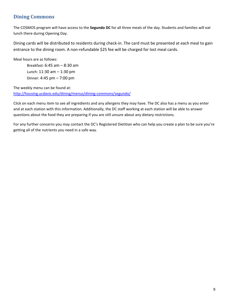# **Dining Commons**

The COSMOS program will have access to the **Segundo DC** for all three meals of the day. Students and families will eat lunch there during Opening Day.

Dining cards will be distributed to residents during check-in. The card must be presented at each meal to gain entrance to the dining room. A non-refundable \$25 fee will be charged for lost meal cards.

Meal hours are as follows:

Breakfast: 6:45 am – 8:30 am Lunch: 11:30 am – 1:30 pm Dinner: 4:45 pm – 7:00 pm

The weekly menu can be found at: <http://housing.ucdavis.edu/dining/menus/dining-commons/segundo/>

Click on each menu item to see all ingredients and any allergens they may have. The DC also has a menu as you enter and at each station with this information. Additionally, the DC staff working at each station will be able to answer questions about the food they are preparing if you are still unsure about any dietary restrictions.

For any further concerns you may contact the DC's Registered Dietitian who can help you create a plan to be sure you're getting all of the nutrients you need in a safe way.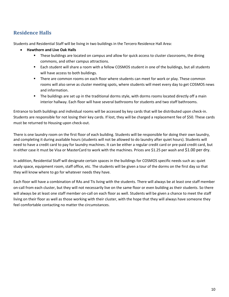# **Residence Halls**

Students and Residential Staff will be living in two buildings in the Tercero Residence Hall Area:

- **Hawthorn and Live Oak Halls**
	- **These buildings are located on campus and allow for quick access to cluster classrooms, the dining** commons, and other campus attractions.
	- Each student will share a room with a fellow COSMOS student in one of the buildings, but all students will have access to both buildings.
	- **There are common rooms on each floor where students can meet for work or play. These common** rooms will also serve as cluster meeting spots, where students will meet every day to get COSMOS news and information.
	- The buildings are set up in the traditional dorms style, with dorms rooms located directly off a main interior hallway. Each floor will have several bathrooms for students and two staff bathrooms.

Entrance to both buildings and individual rooms will be accessed by key cards that will be distributed upon check-in. Students are responsible for not losing their key cards. If lost, they will be charged a replacement fee of \$50. These cards must be returned to Housing upon check-out.

There is one laundry room on the first floor of each building. Students will be responsible for doing their own laundry, and completing it during available hours (students will not be allowed to do laundry after quiet hours). Students will need to have a credit card to pay for laundry machines. It can be either a regular credit card or pre-paid credit card, but in either case it must be Visa or MasterCard to work with the machines. Prices are \$1.25 per wash and \$1.00 per dry.

In addition, Residential Staff will designate certain spaces in the buildings for COSMOS specific needs such as: quiet study space, equipment room, staff office, etc. The students will be given a tour of the dorms on the first day so that they will know where to go for whatever needs they have.

Each floor will have a combination of RAs and TIs living with the students. There will always be at least one staff member on-call from each cluster, but they will not necessarily live on the same floor or even building as their students. So there will always be at least one staff member on-call on each floor as well. Students will be given a chance to meet the staff living on their floor as well as those working with their cluster, with the hope that they will always have someone they feel comfortable contacting no matter the circumstances.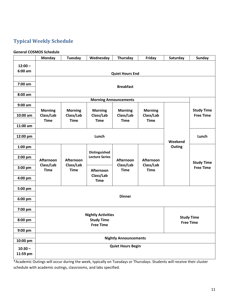# **Typical Weekly Schedule**

# **General COSMOS Schedule**

|                        | <b>Monday</b>                              | Tuesday                                    | Wednesday                                  | Thursday                                   | Friday                                       | Saturday | <b>Sunday</b>                         |  |  |
|------------------------|--------------------------------------------|--------------------------------------------|--------------------------------------------|--------------------------------------------|----------------------------------------------|----------|---------------------------------------|--|--|
| $12:00 -$<br>$6:00$ am | <b>Quiet Hours End</b>                     |                                            |                                            |                                            |                                              |          |                                       |  |  |
| 7:00 am                | <b>Breakfast</b>                           |                                            |                                            |                                            |                                              |          |                                       |  |  |
| $8:00$ am              |                                            |                                            |                                            |                                            |                                              |          |                                       |  |  |
|                        | <b>Morning Announcements</b>               |                                            |                                            |                                            |                                              |          |                                       |  |  |
| $9:00$ am              |                                            |                                            |                                            |                                            |                                              |          | <b>Study Time</b>                     |  |  |
| 10:00 am               | <b>Morning</b><br>Class/Lab<br><b>Time</b> | <b>Morning</b><br>Class/Lab<br><b>Time</b> | <b>Morning</b><br>Class/Lab<br><b>Time</b> | <b>Morning</b><br>Class/Lab<br><b>Time</b> | <b>Morning</b><br>Class/Lab<br><b>Time</b>   |          | <b>Free Time</b>                      |  |  |
| 11:00 am               |                                            |                                            |                                            |                                            |                                              |          |                                       |  |  |
| 12:00 pm               | Lunch                                      |                                            |                                            |                                            |                                              | Weekend  | Lunch                                 |  |  |
| 1:00 pm                |                                            |                                            |                                            |                                            |                                              | Outing   |                                       |  |  |
| 2:00 pm                | Afternoon<br>Class/Lab<br><b>Time</b>      | Afternoon                                  | Distinguished<br><b>Lecture Series</b>     | Afternoon<br>Class/Lab<br><b>Time</b>      | <b>Afternoon</b><br>Class/Lab<br><b>Time</b> |          | <b>Study Time</b><br><b>Free Time</b> |  |  |
| 3:00 pm                |                                            | Class/Lab<br><b>Time</b>                   | Afternoon                                  |                                            |                                              |          |                                       |  |  |
| 4:00 pm                |                                            |                                            | Class/Lab<br><b>Time</b>                   |                                            |                                              |          |                                       |  |  |
| 5:00 pm                |                                            |                                            |                                            |                                            |                                              |          |                                       |  |  |
| 6:00 pm                | <b>Dinner</b>                              |                                            |                                            |                                            |                                              |          |                                       |  |  |
| 7:00 pm                | <b>Nightly Activities</b>                  |                                            |                                            |                                            |                                              |          |                                       |  |  |
| 8:00 pm                | <b>Study Time</b><br><b>Free Time</b>      |                                            |                                            |                                            |                                              |          | <b>Study Time</b><br><b>Free Time</b> |  |  |
| 9:00 pm                |                                            |                                            |                                            |                                            |                                              |          |                                       |  |  |
| 10:00 pm               | <b>Nightly Announcements</b>               |                                            |                                            |                                            |                                              |          |                                       |  |  |
| $10:30 -$<br>11:59 pm  |                                            |                                            |                                            | <b>Quiet Hours Begin</b>                   |                                              |          |                                       |  |  |

\*Academic Outings will occur during the week, typically on Tuesdays or Thursdays. Students will receive their cluster schedule with academic outings, classrooms, and labs specified.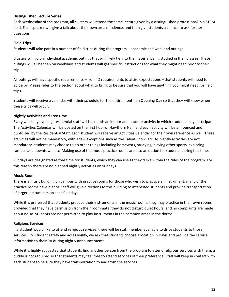# **Distinguished Lecture Series**

Each Wednesday of the program, all clusters will attend the same lecture given by a distinguished professional in a STEM field. Each speaker will give a talk about their own area of science, and then give students a chance to ask further questions.

# **Field Trips**

Students will take part in a number of field trips during the program – academic and weekend outings.

Clusters will go on individual academic outings that will likely tie into the material being studied in their classes. These outings will all happen on weekdays and students will get specific instructions for what they might need prior to their trip.

All outings will have specific requirements – from ID requirements to attire expectations – that students will need to abide by. Please refer to the section about what to bring to be sure that you will have anything you might need for field trips.

Students will receive a calendar with their schedule for the entire month on Opening Day so that they will know when these trips will occur.

# **Nightly Activities and Free time**

Every weekday evening, residential staff will host both an indoor and outdoor activity in which students may participate. The Activities Calendar will be posted on the first floor of Hawthorn Hall, and each activity will be announced and publicized by the Residential Staff. Each student will receive an Activities Calendar for their own reference as well. These activities will not be mandatory, with a few exceptions such as the Talent Show, etc. As nightly activities are not mandatory, students may choose to do other things including homework, studying, playing other sports, exploring campus and downtown, etc. Making use of the music practice rooms are also an option for students during this time.

Sundays are designated as free time for students, which they can use as they'd like within the rules of the program. For this reason there are no planned nightly activities on Sundays.

#### **Music Room**

There is a music building on campus with practice rooms for those who wish to practice an instrument; many of the practice rooms have pianos. Staff will give directions to this building to interested students and provide transportation of larger instruments on specified days.

While it is preferred that students practice their instruments in the music rooms, they may practice in their own rooms provided that they have permission from their roommate, they do not disturb quiet hours, and no complaints are made about noise. Students are not permitted to play instruments in the common areas in the dorms.

#### **Religious Services**

If a student would like to attend religious services, there will be staff member available to drive students to those services. For student safety and accessibility, we ask that students choose a location in Davis and provide the service information to their RA during nightly announcements.

While it is highly suggested that students find another person from the program to attend religious services with them, a buddy is not required so that students may feel free to attend services of their preference. Staff will keep in contact with each student to be sure they have transportation to and from the services.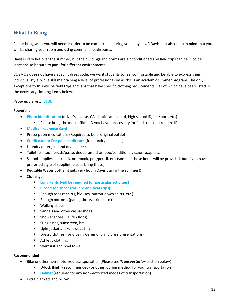# **What to Bring**

Please bring what you will need in order to be comfortable during your stay at UC Davis, but also keep in mind that you will be sharing your room and using communal bathrooms.

Davis is very hot over the summer, but the buildings and dorms are air conditioned and field trips can be in colder locations so be sure to pack for different environments.

COSMOS does not have a specific dress code; we want students to feel comfortable and be able to express their individual style, while still maintaining a level of professionalism as this is an academic summer program. The only exceptions to this will be field trips and labs that have specific clothing requirements – all of which have been listed in the necessary clothing items below.

# *Required Items in* **BLUE**

#### **Essentials**

- **Photo Identification** (driver's license, CA identification card, high school ID, passport, etc.)
	- Please bring the most official ID you have necessary for field trips that require ID
- **Medical Insurance Card**
- Prescription medications (Required to be in original bottle)
- **Credit card or Pre-paid credit card** (for laundry machines)
- Laundry detergent and dryer sheets
- Toiletries: toothbrush/paste, deodorant, shampoo/conditioner, razor, soap, etc.
- School supplies: backpack, notebook, pen/pencil, etc. (some of these items will be provided, but if you have a preferred style of supplies, please bring those)
- Reusable Water Bottle (it gets very hot in Davis during the summer!)
- Clothing:
	- **Long Pants (will be required for particular activities)**
	- **Closed-toe shoes (for labs and field trips)**
	- Enough tops (t-shirts, blouses, button-down shirts, etc.)
	- **Enough bottoms (pants, shorts, skirts, etc.)**
	- **Walking shoes**
	- Sandals and other casual shoes
	- **Shower shoes (i.e. flip flops)**
	- **Sunglasses, sunscreen, hat**
	- Light jacket and/or sweatshirt
	- **Dressy clothes (for Closing Ceremony and class presentations)**
	- **•** Athletic clothing
	- **Swimsuit and pool towel**

#### **Recommended**

- Bike or other non-motorized transportation (Please see *Transportation* section below)
	- U-lock (highly recommended) or other locking method for your transportation
	- **Helmet** (required for any non-motorized modes of transportation)
- Extra blankets and pillow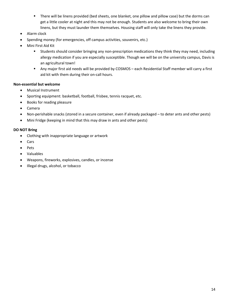- There will be linens provided (bed sheets, one blanket, one pillow and pillow case) but the dorms can get a little cooler at night and this may not be enough. Students are also welcome to bring their own linens, but they must launder them themselves. Housing staff will only take the linens they provide.
- Alarm clock
- Spending money (for emergencies, off campus activities, souvenirs, etc.)
- Mini First Aid Kit
	- Students should consider bringing any non-prescription medications they think they may need, including allergy medication if you are especially susceptible. Though we will be on the university campus, Davis is an agricultural town!
	- Any major first aid needs will be provided by COSMOS each Residential Staff member will carry a first aid kit with them during their on-call hours.

#### **Non-essential but welcome**

- Musical Instrument
- Sporting equipment: basketball, football, frisbee, tennis racquet, etc.
- Books for reading pleasure
- Camera
- Non-perishable snacks (stored in a secure container, even if already packaged to deter ants and other pests)
- Mini Fridge (keeping in mind that this may draw in ants and other pests)

#### **DO NOT Bring**

- Clothing with inappropriate language or artwork
- Cars
- Pets
- Valuables
- Weapons, fireworks, explosives, candles, or incense
- Illegal drugs, alcohol, or tobacco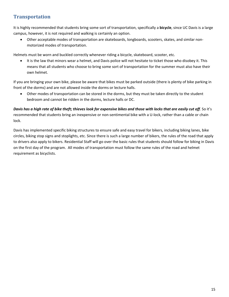# **Transportation**

It is highly recommended that students bring some sort of transportation, specifically a **bicycle**, since UC Davis is a large campus, however, it is not required and walking is certainly an option.

• Other acceptable modes of transportation are skateboards, longboards, scooters, skates, and similar nonmotorized modes of transportation.

Helmets must be worn and buckled correctly whenever riding a bicycle, skateboard, scooter, etc.

• It is the law that minors wear a helmet, and Davis police will not hesitate to ticket those who disobey it. This means that all students who choose to bring some sort of transportation for the summer must also have their own helmet.

If you are bringing your own bike, please be aware that bikes must be parked outside (there is plenty of bike parking in front of the dorms) and are not allowed inside the dorms or lecture halls.

• Other modes of transportation can be stored in the dorms, but they must be taken directly to the student bedroom and cannot be ridden in the dorms, lecture halls or DC.

*Davis has a high rate of bike theft; thieves look for expensive bikes and those with locks that are easily cut off*. So it's recommended that students bring an inexpensive or non-sentimental bike with a U-lock, rather than a cable or chain lock.

Davis has implemented specific biking structures to ensure safe and easy travel for bikers, including biking lanes, bike circles, biking stop signs and stoplights, etc. Since there is such a large number of bikers, the rules of the road that apply to drivers also apply to bikers. Residential Staff will go over the basic rules that students should follow for biking in Davis on the first day of the program. All modes of transportation must follow the same rules of the road and helmet requirement as bicyclists.